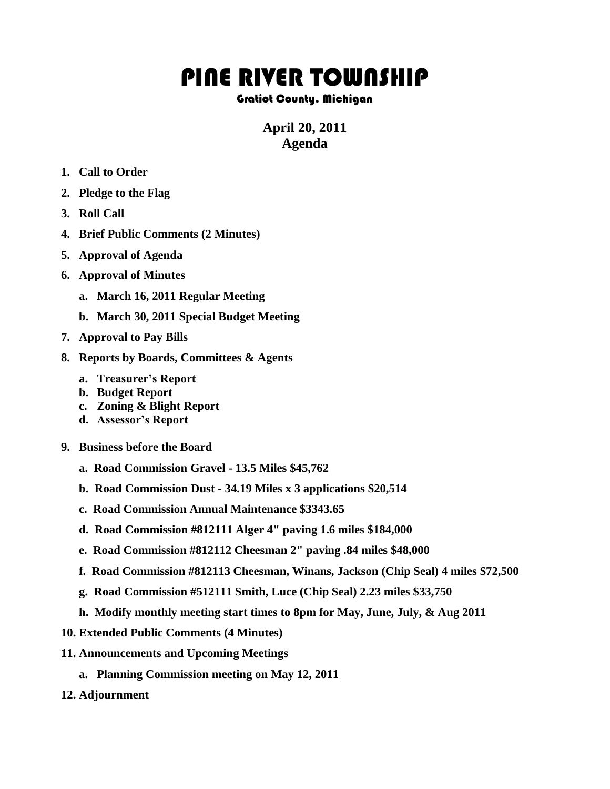## PINE RIVER TOWNSHIP

## Gratiot County, Michigan

## **April 20, 2011 Agenda**

- **1. Call to Order**
- **2. Pledge to the Flag**
- **3. Roll Call**
- **4. Brief Public Comments (2 Minutes)**
- **5. Approval of Agenda**
- **6. Approval of Minutes**
	- **a. March 16, 2011 Regular Meeting**
	- **b. March 30, 2011 Special Budget Meeting**
- **7. Approval to Pay Bills**
- **8. Reports by Boards, Committees & Agents**
	- **a. Treasurer's Report**
	- **b. Budget Report**
	- **c. Zoning & Blight Report**
	- **d. Assessor's Report**
- **9. Business before the Board**
	- **a. Road Commission Gravel - 13.5 Miles \$45,762**
	- **b. Road Commission Dust - 34.19 Miles x 3 applications \$20,514**
	- **c. Road Commission Annual Maintenance \$3343.65**
	- **d. Road Commission #812111 Alger 4" paving 1.6 miles \$184,000**
	- **e. Road Commission #812112 Cheesman 2" paving .84 miles \$48,000**
	- **f. Road Commission #812113 Cheesman, Winans, Jackson (Chip Seal) 4 miles \$72,500**
	- **g. Road Commission #512111 Smith, Luce (Chip Seal) 2.23 miles \$33,750**
	- **h. Modify monthly meeting start times to 8pm for May, June, July, & Aug 2011**
- **10. Extended Public Comments (4 Minutes)**
- **11. Announcements and Upcoming Meetings**
	- **a. Planning Commission meeting on May 12, 2011**
- **12. Adjournment**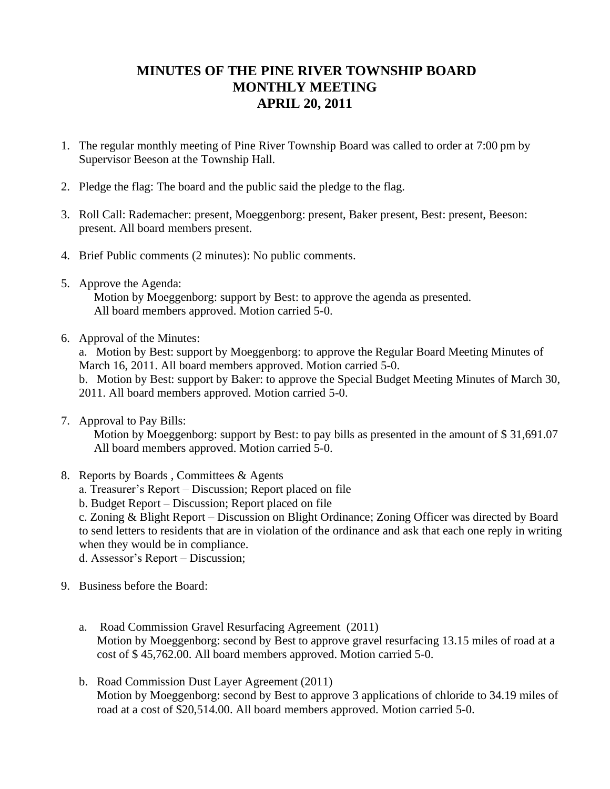## **MINUTES OF THE PINE RIVER TOWNSHIP BOARD MONTHLY MEETING APRIL 20, 2011**

- 1. The regular monthly meeting of Pine River Township Board was called to order at 7:00 pm by Supervisor Beeson at the Township Hall.
- 2. Pledge the flag: The board and the public said the pledge to the flag.
- 3. Roll Call: Rademacher: present, Moeggenborg: present, Baker present, Best: present, Beeson: present. All board members present.
- 4. Brief Public comments (2 minutes): No public comments.
- 5. Approve the Agenda:

 Motion by Moeggenborg: support by Best: to approve the agenda as presented. All board members approved. Motion carried 5-0.

6. Approval of the Minutes:

a. Motion by Best: support by Moeggenborg: to approve the Regular Board Meeting Minutes of March 16, 2011. All board members approved. Motion carried 5-0. b. Motion by Best: support by Baker: to approve the Special Budget Meeting Minutes of March 30, 2011. All board members approved. Motion carried 5-0.

7. Approval to Pay Bills:

 Motion by Moeggenborg: support by Best: to pay bills as presented in the amount of \$ 31,691.07 All board members approved. Motion carried 5-0.

- 8. Reports by Boards , Committees & Agents
	- a. Treasurer's Report Discussion; Report placed on file
	- b. Budget Report Discussion; Report placed on file

c. Zoning & Blight Report – Discussion on Blight Ordinance; Zoning Officer was directed by Board to send letters to residents that are in violation of the ordinance and ask that each one reply in writing when they would be in compliance.

d. Assessor's Report – Discussion;

- 9. Business before the Board:
	- a. Road Commission Gravel Resurfacing Agreement (2011) Motion by Moeggenborg: second by Best to approve gravel resurfacing 13.15 miles of road at a cost of \$ 45,762.00. All board members approved. Motion carried 5-0.
	- b. Road Commission Dust Layer Agreement (2011) Motion by Moeggenborg: second by Best to approve 3 applications of chloride to 34.19 miles of road at a cost of \$20,514.00. All board members approved. Motion carried 5-0.